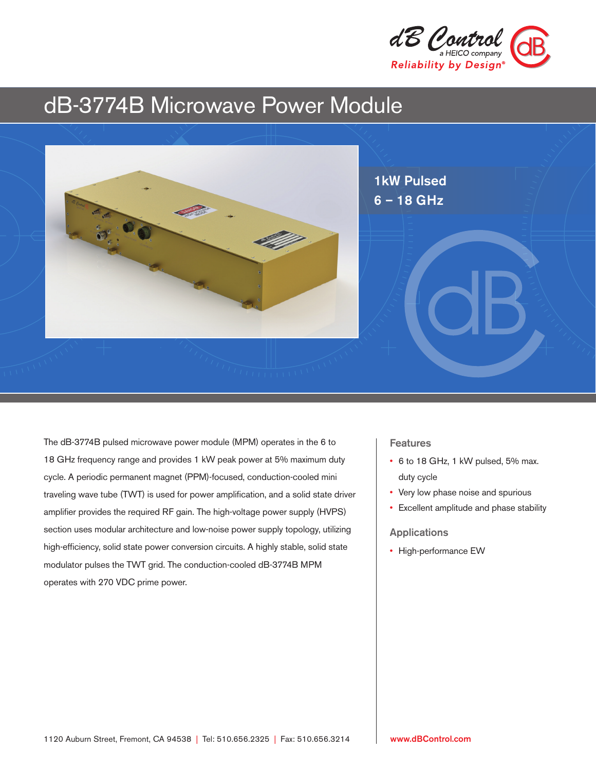

# dB-3774B Microwave Power Module



The dB-3774B pulsed microwave power module (MPM) operates in the 6 to 18 GHz frequency range and provides 1 kW peak power at 5% maximum duty cycle. A periodic permanent magnet (PPM)-focused, conduction-cooled mini traveling wave tube (TWT) is used for power amplification, and a solid state driver amplifier provides the required RF gain. The high-voltage power supply (HVPS) section uses modular architecture and low-noise power supply topology, utilizing high-efficiency, solid state power conversion circuits. A highly stable, solid state modulator pulses the TWT grid. The conduction-cooled dB-3774B MPM operates with 270 VDC prime power.

### Features

- 6 to 18 GHz, 1 kW pulsed, 5% max. duty cycle
- Very low phase noise and spurious
- Excellent amplitude and phase stability

#### Applications

• High-performance EW